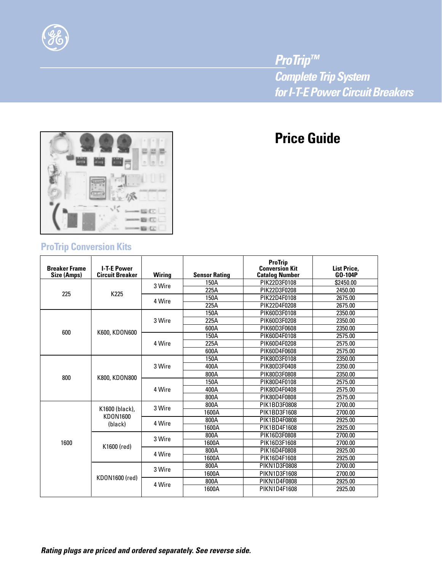

*ProTrip™ Complete Trip System for I-T-E Power Circuit Breakers*

# **Price Guide**



## **ProTrip Conversion Kits**

| <b>Breaker Frame</b><br>Size (Amps) | <b>I-T-E Power</b><br><b>Circuit Breaker</b> | <b>Wiring</b> | <b>Sensor Rating</b>                                                                                 | <b>ProTrip</b><br><b>Conversion Kit</b><br><b>Catalog Number</b> | <b>List Price,</b><br>GO-104P |
|-------------------------------------|----------------------------------------------|---------------|------------------------------------------------------------------------------------------------------|------------------------------------------------------------------|-------------------------------|
| 225                                 | K225                                         | 3 Wire        | 150A                                                                                                 | PIK22D3F0108                                                     | \$2450.00                     |
|                                     |                                              |               | 225A                                                                                                 | PIK22D3F0208                                                     | 2450.00                       |
|                                     |                                              | 4 Wire        | 150A                                                                                                 | PIK22D4F0108                                                     | 2675.00                       |
|                                     |                                              |               | 225A                                                                                                 | PIK22D4F0208                                                     | 2675.00                       |
|                                     | K600, KDON600                                | 3 Wire        | 150A                                                                                                 | PIK60D3F0108                                                     | 2350.00                       |
|                                     |                                              |               | 225A                                                                                                 | PIK60D3F0208                                                     | 2350.00                       |
|                                     |                                              |               | 600A                                                                                                 | PIK60D3F0608                                                     | 2350.00                       |
| 600                                 |                                              | 4 Wire        | 150A                                                                                                 | PIK60D4F0108                                                     | 2575.00                       |
|                                     |                                              |               | 225A                                                                                                 | PIK60D4F0208                                                     | 2575.00                       |
|                                     |                                              |               | 600A                                                                                                 | PIK60D4F0608                                                     | 2575.00                       |
|                                     | K800, KDON800                                | 3 Wire        | 150A                                                                                                 | PIK80D3F0108                                                     | 2350.00                       |
|                                     |                                              |               | 400A                                                                                                 | PIK80D3F0408                                                     | 2350.00                       |
| 800                                 |                                              |               | 800A                                                                                                 | PIK80D3F0808                                                     | 2350.00                       |
|                                     |                                              | 4 Wire        | 150A                                                                                                 | PIK80D4F0108                                                     | 2575.00                       |
|                                     |                                              |               | 400A                                                                                                 | PIK80D4F0408                                                     | 2575.00                       |
|                                     |                                              |               | 800A                                                                                                 | PIK80D4F0808                                                     | 2575.00                       |
|                                     |                                              |               | 800A                                                                                                 | PIK1BD3F0808                                                     | 2700.00                       |
|                                     | K1600 (black),                               |               | 3 Wire<br>1600A<br>800A<br>1600A<br>800A<br>1600A<br>800A<br>1600A<br>800A<br>1600A<br>800A<br>1600A | PIK1BD3F1608                                                     | 2700.00                       |
|                                     | KD0N1600<br>(black)                          | 4 Wire        |                                                                                                      | PIK1BD4F0808                                                     | 2925.00                       |
|                                     |                                              |               |                                                                                                      | PIK1BD4F1608                                                     | 2925.00                       |
|                                     | K1600 (red)                                  | 3 Wire        |                                                                                                      | PIK16D3F0808                                                     | 2700.00                       |
| 1600                                |                                              |               |                                                                                                      | PIK16D3F1608                                                     | 2700.00                       |
|                                     |                                              | 4 Wire        |                                                                                                      | PIK16D4F0808                                                     | 2925.00                       |
|                                     |                                              |               |                                                                                                      | PIK16D4F1608                                                     | 2925.00                       |
|                                     | KD0N1600 (red)                               | 3 Wire        |                                                                                                      | PIKN1D3F0808                                                     | 2700.00                       |
|                                     |                                              |               |                                                                                                      | PIKN1D3F1608                                                     | 2700.00                       |
|                                     |                                              | 4 Wire        |                                                                                                      | PIKN1D4F0808                                                     | 2925.00                       |
|                                     |                                              |               |                                                                                                      | PIKN1D4F1608                                                     | 2925.00                       |